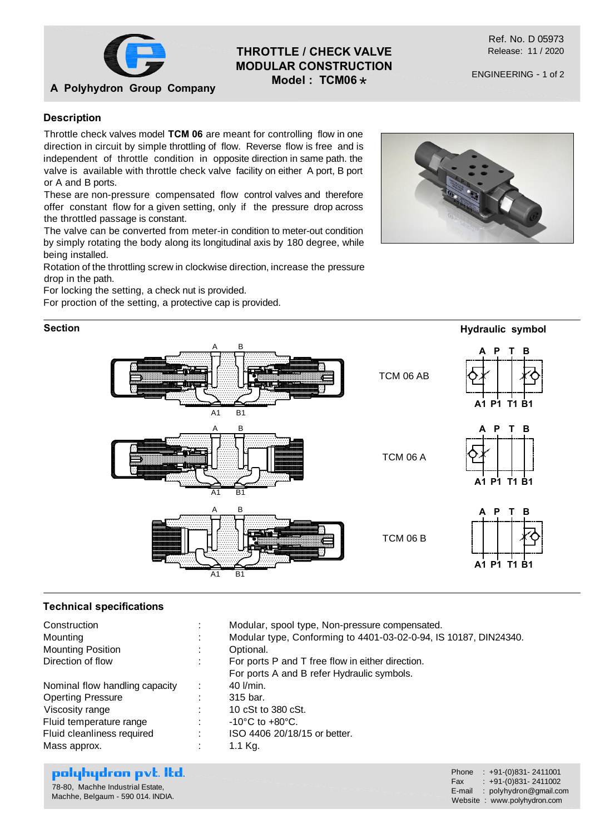

**A Polyhydron Group Company**

# **THROTTLE / CHECK VALVE MODULAR CONSTRUCTION Model : TCM06** \*

Ref. No. D 05973 Release: 11 / 2020

ENGINEERING - 1 of 2

### **Description**

Throttle check valves model **TCM 06** are meant for controlling flow in one direction in circuit by simple throttling of flow. Reverse flow is free and is independent of throttle condition in opposite direction in same path. the valve is available with throttle check valve facility on either A port, B port or A and B ports.

These are non-pressure compensated flow control valves and therefore offer constant flow for a given setting, only if the pressure drop across the throttled passage is constant.

The valve can be converted from meter-in condition to meter-out condition by simply rotating the body along its longitudinal axis by 180 degree, while being installed.

Rotation of the throttling screw in clockwise direction, increase the pressure drop in the path.

For locking the setting, a check nut is provided.

For proction of the setting, a protective cap is provided.

#### **Section**





#### **Technical specifications**

| Construction                   | Modular, spool type, Non-pressure compensated.                   |
|--------------------------------|------------------------------------------------------------------|
| Mounting                       | Modular type, Conforming to 4401-03-02-0-94, IS 10187, DIN24340. |
| <b>Mounting Position</b>       | Optional.                                                        |
| Direction of flow              | For ports P and T free flow in either direction.                 |
|                                | For ports A and B refer Hydraulic symbols.                       |
| Nominal flow handling capacity | 40 l/min.                                                        |
| <b>Operting Pressure</b>       | 315 bar.                                                         |
| Viscosity range                | 10 cSt to 380 cSt.                                               |
| Fluid temperature range        | $-10^{\circ}$ C to $+80^{\circ}$ C.                              |
| Fluid cleanliness required     | ISO 4406 20/18/15 or better.                                     |
| Mass approx.                   | 1.1 Kg.                                                          |
|                                |                                                                  |

## polyhydron pvt. Itd.

| 78-80. Machhe Industrial Estate.  |
|-----------------------------------|
| Machhe, Belgaum - 590 014. INDIA. |

Phone : +91-(0)831- 2411001 Fax :  $+91-(0)831-2411002$ E-mail : polyhydron@gmail.com Website : www.polyhydron.com